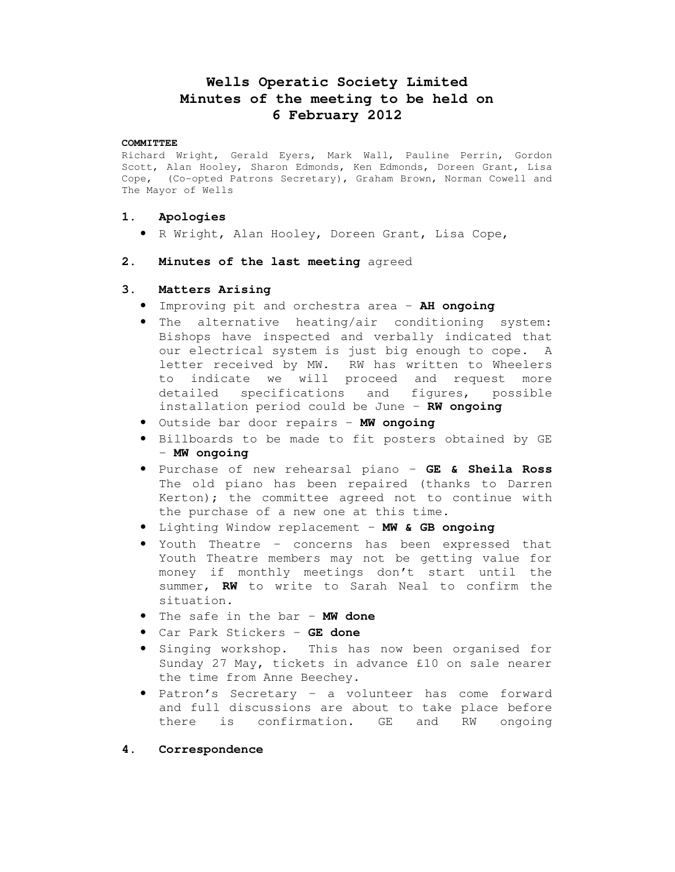# **Wells Operatic Society Limited Minutes of the meeting to be held on 6 February 2012**

#### **COMMITTEE**

Richard Wright, Gerald Eyers, Mark Wall, Pauline Perrin, Gordon Scott, Alan Hooley, Sharon Edmonds, Ken Edmonds, Doreen Grant, Lisa Cope, (Co-opted Patrons Secretary), Graham Brown, Norman Cowell and The Mayor of Wells

# **1. Apologies**

• R Wright, Alan Hooley, Doreen Grant, Lisa Cope,

# **2. Minutes of the last meeting** agreed

# **3. Matters Arising**

- Improving pit and orchestra area **AH ongoing**
- The alternative heating/air conditioning system: Bishops have inspected and verbally indicated that our electrical system is just big enough to cope. A letter received by MW. RW has written to Wheelers to indicate we will proceed and request more detailed specifications and figures, possible installation period could be June – **RW ongoing**
- Outside bar door repairs **MW ongoing**
- Billboards to be made to fit posters obtained by GE – **MW ongoing**
- Purchase of new rehearsal piano **GE & Sheila Ross**  The old piano has been repaired (thanks to Darren Kerton); the committee agreed not to continue with the purchase of a new one at this time.
- Lighting Window replacement **MW & GB ongoing**
- Youth Theatre concerns has been expressed that Youth Theatre members may not be getting value for money if monthly meetings don't start until the summer, **RW** to write to Sarah Neal to confirm the situation.
- The safe in the bar **MW done**
- Car Park Stickers **GE done**
- Singing workshop. This has now been organised for Sunday 27 May, tickets in advance £10 on sale nearer the time from Anne Beechey.
- Patron's Secretary a volunteer has come forward and full discussions are about to take place before there is confirmation. GE and RW ongoing
- **4. Correspondence**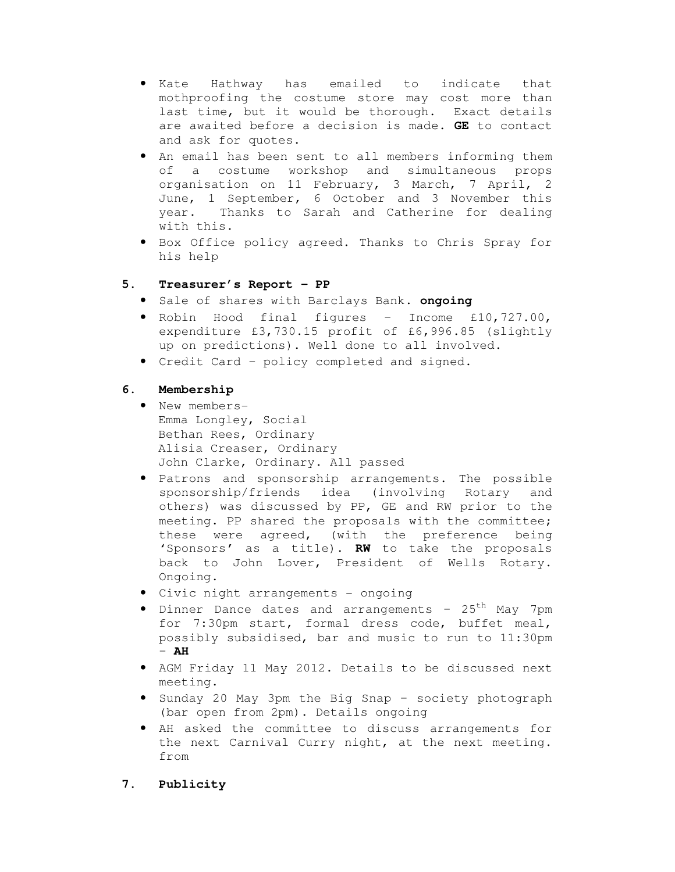- Kate Hathway has emailed to indicate that mothproofing the costume store may cost more than last time, but it would be thorough. Exact details are awaited before a decision is made. **GE** to contact and ask for quotes.
- An email has been sent to all members informing them of a costume workshop and simultaneous props organisation on 11 February, 3 March, 7 April, 2 June, 1 September, 6 October and 3 November this year. Thanks to Sarah and Catherine for dealing with this.
- Box Office policy agreed. Thanks to Chris Spray for his help

# **5. Treasurer's Report – PP**

- Sale of shares with Barclays Bank. **ongoing**
- Robin Hood final figures Income £10,727.00, expenditure £3,730.15 profit of £6,996.85 (slightly up on predictions). Well done to all involved.
- Credit Card policy completed and signed.

# **6. Membership**

- New members-Emma Longley, Social Bethan Rees, Ordinary Alisia Creaser, Ordinary John Clarke, Ordinary. All passed
- Patrons and sponsorship arrangements. The possible sponsorship/friends idea (involving Rotary and others) was discussed by PP, GE and RW prior to the meeting. PP shared the proposals with the committee; these were agreed, (with the preference being 'Sponsors' as a title). **RW** to take the proposals back to John Lover, President of Wells Rotary. Ongoing.
- Civic night arrangements ongoing
- Dinner Dance dates and arrangements  $-25^{th}$  May 7pm for 7:30pm start, formal dress code, buffet meal, possibly subsidised, bar and music to run to 11:30pm – **AH**
- AGM Friday 11 May 2012. Details to be discussed next meeting.
- Sunday 20 May 3pm the Big Snap society photograph (bar open from 2pm). Details ongoing
- AH asked the committee to discuss arrangements for the next Carnival Curry night, at the next meeting. from

# **7. Publicity**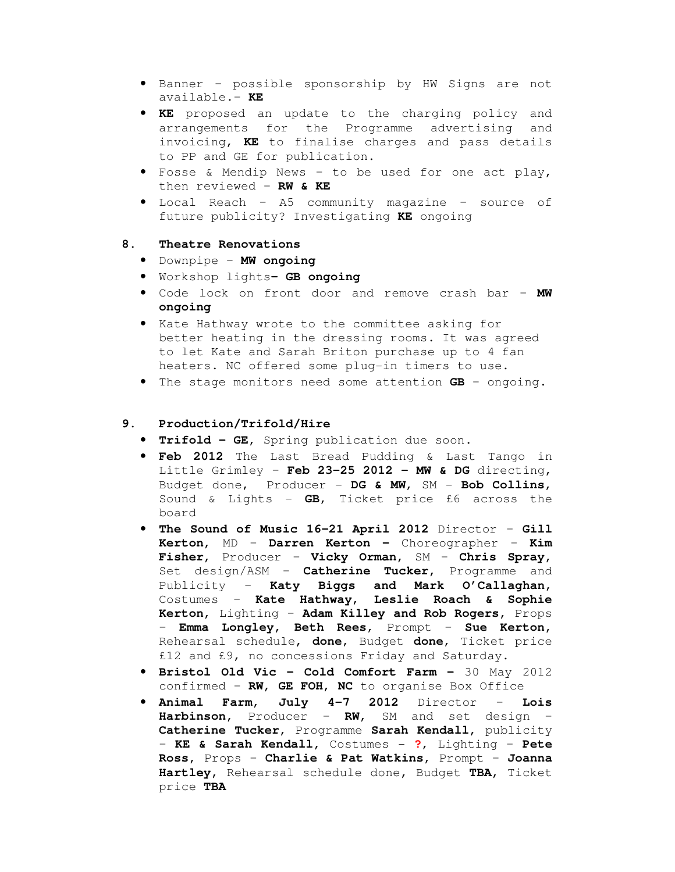- Banner possible sponsorship by HW Signs are not available.– **KE**
- **KE** proposed an update to the charging policy and arrangements for the Programme advertising and invoicing, **KE** to finalise charges and pass details to PP and GE for publication.
- Fosse & Mendip News to be used for one act play, then reviewed – **RW & KE**
- Local Reach A5 community magazine source of future publicity? Investigating **KE** ongoing

### **8. Theatre Renovations**

- Downpipe **MW ongoing**
- Workshop lights **GB ongoing**
- Code lock on front door and remove crash bar **MW ongoing**
- Kate Hathway wrote to the committee asking for better heating in the dressing rooms. It was agreed to let Kate and Sarah Briton purchase up to 4 fan heaters. NC offered some plug-in timers to use.
- The stage monitors need some attention **GB** ongoing.

## **9. Production/Trifold/Hire**

- **Trifold GE,** Spring publication due soon.
- **Feb 2012** The Last Bread Pudding & Last Tango in Little Grimley – **Feb 23-25 2012 – MW & DG** directing, Budget done, Producer - **DG & MW**, SM - **Bob Collins**, Sound & Lights - **GB**, Ticket price £6 across the board
- **The Sound of Music 16-21 April 2012** Director **Gill Kerton,** MD – **Darren Kerton –** Choreographer – **Kim Fisher,** Producer – **Vicky Orman,** SM – **Chris Spray,**  Set design/ASM – **Catherine Tucker,** Programme and Publicity – **Katy Biggs and Mark O'Callaghan,**  Costumes – **Kate Hathway, Leslie Roach & Sophie Kerton,** Lighting – **Adam Killey and Rob Rogers,** Props – **Emma Longley, Beth Rees**, Prompt – **Sue Kerton,**  Rehearsal schedule**, done**, Budget **done**, Ticket price £12 and £9, no concessions Friday and Saturday.
- **Bristol Old Vic Cold Comfort Farm** 30 May 2012 confirmed – **RW, GE FOH, NC** to organise Box Office
- **Animal Farm, July 4-7 2012** Director **Lois Harbinson,** Producer – **RW,** SM and set design – **Catherine Tucker,** Programme **Sarah Kendall,** publicity – **KE & Sarah Kendall,** Costumes - **?**, Lighting – **Pete Ross,** Props – **Charlie & Pat Watkins,** Prompt – **Joanna Hartley,** Rehearsal schedule done**,** Budget **TBA,** Ticket price **TBA**